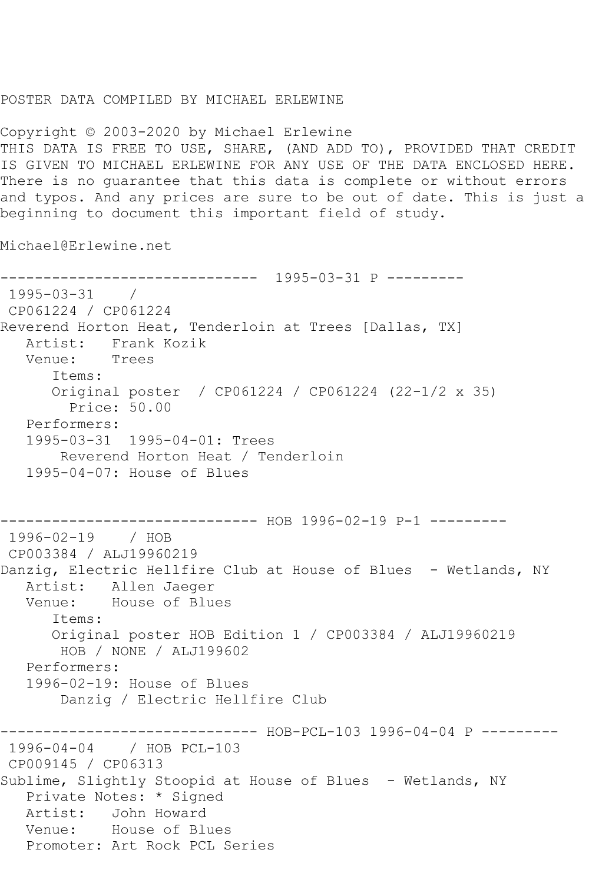## POSTER DATA COMPILED BY MICHAEL ERLEWINE

Copyright © 2003-2020 by Michael Erlewine THIS DATA IS FREE TO USE, SHARE, (AND ADD TO), PROVIDED THAT CREDIT IS GIVEN TO MICHAEL ERLEWINE FOR ANY USE OF THE DATA ENCLOSED HERE. There is no guarantee that this data is complete or without errors and typos. And any prices are sure to be out of date. This is just a beginning to document this important field of study.

Michael@Erlewine.net

------------------------------ 1995-03-31 P --------- 1995-03-31 / CP061224 / CP061224 Reverend Horton Heat, Tenderloin at Trees [Dallas, TX] Artist: Frank Kozik Venue: Trees Items: Original poster / CP061224 / CP061224 (22-1/2 x 35) Price: 50.00 Performers: 1995-03-31 1995-04-01: Trees Reverend Horton Heat / Tenderloin 1995-04-07: House of Blues ------------------------------ HOB 1996-02-19 P-1 --------- 1996-02-19 / HOB CP003384 / ALJ19960219 Danzig, Electric Hellfire Club at House of Blues - Wetlands, NY Artist: Allen Jaeger Venue: House of Blues Items: Original poster HOB Edition 1 / CP003384 / ALJ19960219 HOB / NONE / ALJ199602 Performers: 1996-02-19: House of Blues Danzig / Electric Hellfire Club ------------------------------ HOB-PCL-103 1996-04-04 P --------- 1996-04-04 / HOB PCL-103 CP009145 / CP06313 Sublime, Slightly Stoopid at House of Blues - Wetlands, NY Private Notes: \* Signed Artist: John Howard Venue: House of Blues Promoter: Art Rock PCL Series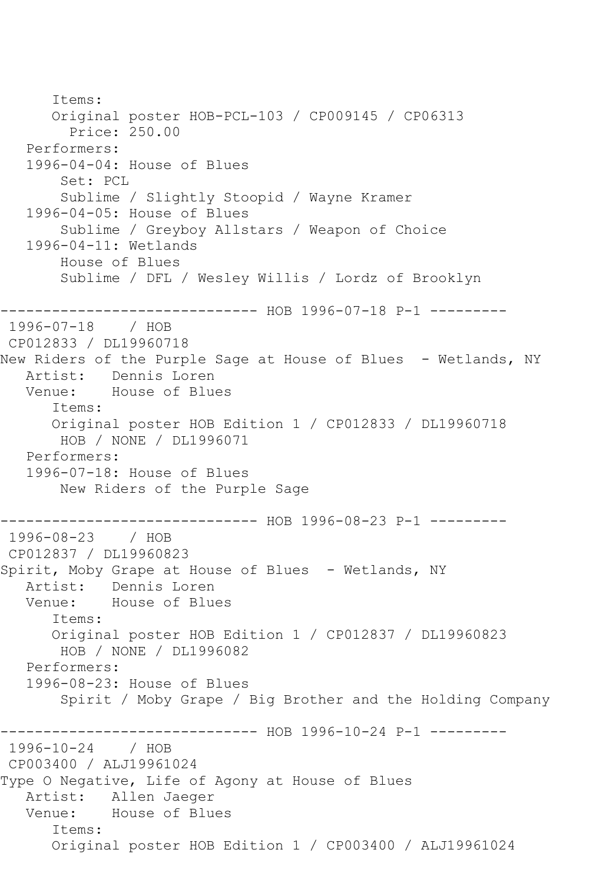Items: Original poster HOB-PCL-103 / CP009145 / CP06313 Price: 250.00 Performers: 1996-04-04: House of Blues Set: PCL Sublime / Slightly Stoopid / Wayne Kramer 1996-04-05: House of Blues Sublime / Greyboy Allstars / Weapon of Choice 1996-04-11: Wetlands House of Blues Sublime / DFL / Wesley Willis / Lordz of Brooklyn ------------------------------ HOB 1996-07-18 P-1 --------- 1996-07-18 / HOB CP012833 / DL19960718 New Riders of the Purple Sage at House of Blues - Wetlands, NY Artist: Dennis Loren Venue: House of Blues Items: Original poster HOB Edition 1 / CP012833 / DL19960718 HOB / NONE / DL1996071 Performers: 1996-07-18: House of Blues New Riders of the Purple Sage ------------------------------ HOB 1996-08-23 P-1 --------- 1996-08-23 / HOB CP012837 / DL19960823 Spirit, Moby Grape at House of Blues - Wetlands, NY Artist: Dennis Loren Venue: House of Blues Items: Original poster HOB Edition 1 / CP012837 / DL19960823 HOB / NONE / DL1996082 Performers: 1996-08-23: House of Blues Spirit / Moby Grape / Big Brother and the Holding Company ----------------------------- HOB 1996-10-24 P-1 ----------1996-10-24 / HOB CP003400 / ALJ19961024 Type O Negative, Life of Agony at House of Blues Artist: Allen Jaeger Venue: House of Blues Items: Original poster HOB Edition 1 / CP003400 / ALJ19961024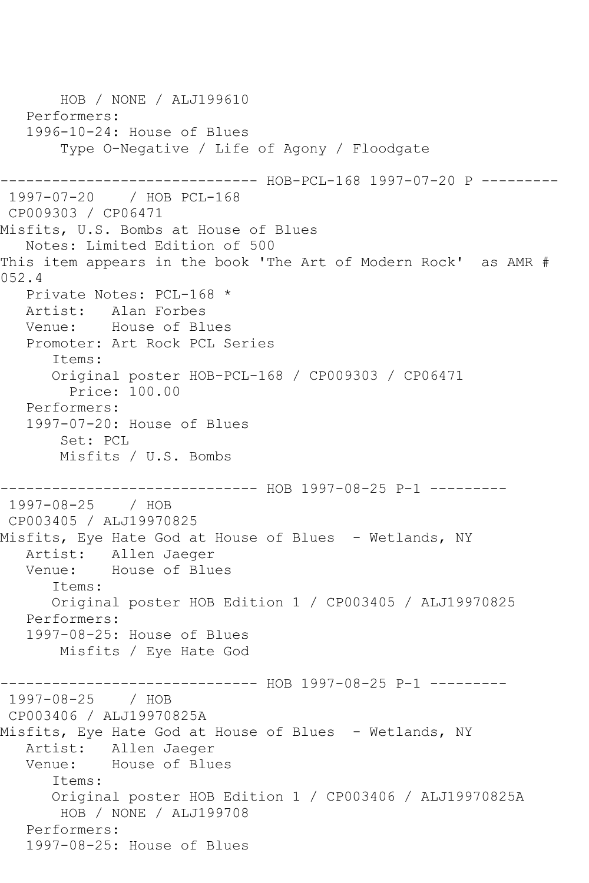HOB / NONE / ALJ199610 Performers: 1996-10-24: House of Blues Type O-Negative / Life of Agony / Floodgate --------- HOB-PCL-168 1997-07-20 P ---------1997-07-20 / HOB PCL-168 CP009303 / CP06471 Misfits, U.S. Bombs at House of Blues Notes: Limited Edition of 500 This item appears in the book 'The Art of Modern Rock' as AMR # 052.4 Private Notes: PCL-168 \* Artist: Alan Forbes Venue: House of Blues Promoter: Art Rock PCL Series Items: Original poster HOB-PCL-168 / CP009303 / CP06471 Price: 100.00 Performers: 1997-07-20: House of Blues Set: PCL Misfits / U.S. Bombs ------------------------------ HOB 1997-08-25 P-1 --------- 1997-08-25 / HOB CP003405 / ALJ19970825 Misfits, Eye Hate God at House of Blues - Wetlands, NY Artist: Allen Jaeger Venue: House of Blues Items: Original poster HOB Edition 1 / CP003405 / ALJ19970825 Performers: 1997-08-25: House of Blues Misfits / Eye Hate God ------------------------------ HOB 1997-08-25 P-1 --------- 1997-08-25 / HOB CP003406 / ALJ19970825A Misfits, Eye Hate God at House of Blues - Wetlands, NY Artist: Allen Jaeger Venue: House of Blues Items: Original poster HOB Edition 1 / CP003406 / ALJ19970825A HOB / NONE / ALJ199708 Performers: 1997-08-25: House of Blues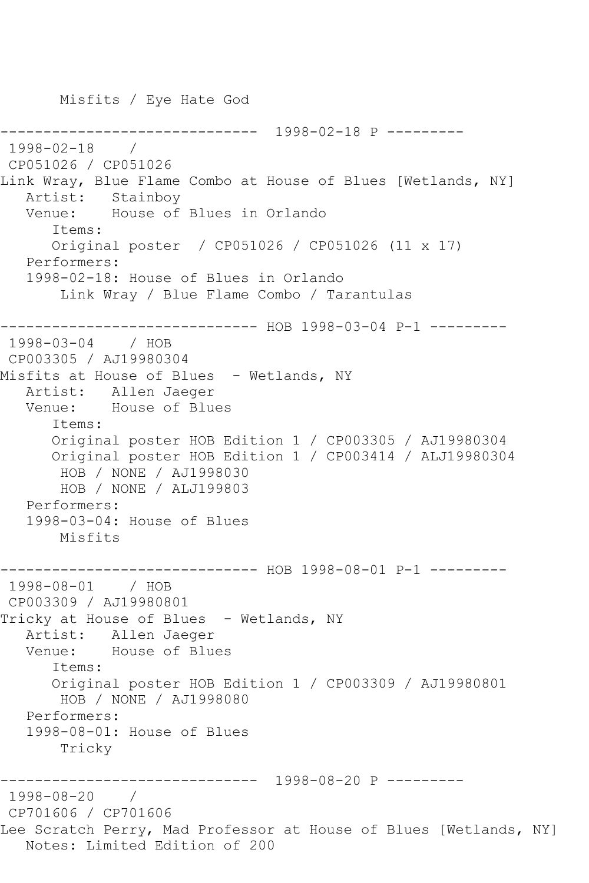Misfits / Eye Hate God ------------------------------ 1998-02-18 P --------- 1998-02-18 / CP051026 / CP051026 Link Wray, Blue Flame Combo at House of Blues [Wetlands, NY] Artist: Stainboy Venue: House of Blues in Orlando Items: Original poster / CP051026 / CP051026 (11 x 17) Performers: 1998-02-18: House of Blues in Orlando Link Wray / Blue Flame Combo / Tarantulas ------------------------------ HOB 1998-03-04 P-1 --------- 1998-03-04 / HOB CP003305 / AJ19980304 Misfits at House of Blues - Wetlands, NY Artist: Allen Jaeger Venue: House of Blues Items: Original poster HOB Edition 1 / CP003305 / AJ19980304 Original poster HOB Edition 1 / CP003414 / ALJ19980304 HOB / NONE / AJ1998030 HOB / NONE / ALJ199803 Performers: 1998-03-04: House of Blues Misfits ------------------------------ HOB 1998-08-01 P-1 --------- 1998-08-01 / HOB CP003309 / AJ19980801 Tricky at House of Blues - Wetlands, NY Artist: Allen Jaeger Venue: House of Blues Items: Original poster HOB Edition 1 / CP003309 / AJ19980801 HOB / NONE / AJ1998080 Performers: 1998-08-01: House of Blues Tricky ------------------------------ 1998-08-20 P --------- 1998-08-20 / CP701606 / CP701606 Lee Scratch Perry, Mad Professor at House of Blues [Wetlands, NY] Notes: Limited Edition of 200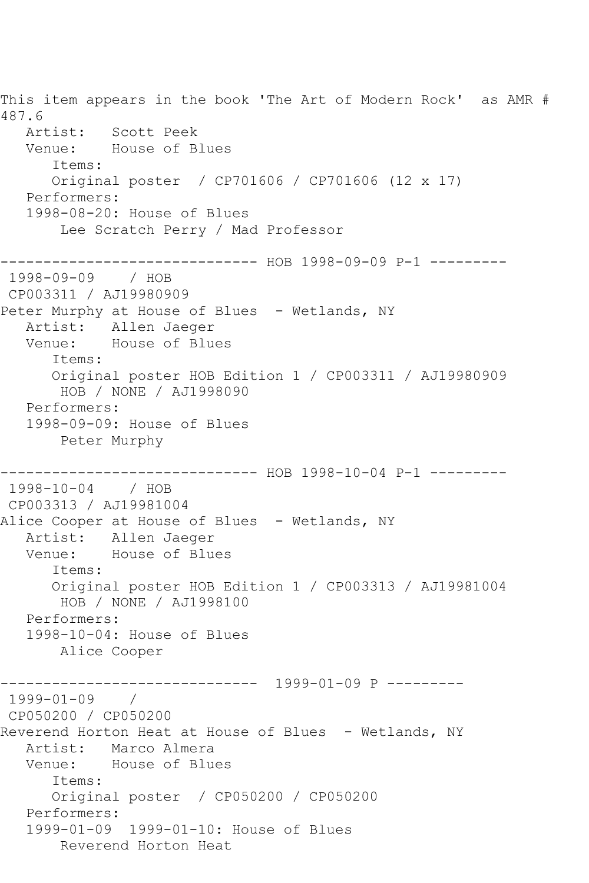This item appears in the book 'The Art of Modern Rock' as AMR # 487.6 Artist: Scott Peek Venue: House of Blues Items: Original poster / CP701606 / CP701606 (12 x 17) Performers: 1998-08-20: House of Blues Lee Scratch Perry / Mad Professor ------------------------------ HOB 1998-09-09 P-1 --------- 1998-09-09 / HOB CP003311 / AJ19980909 Peter Murphy at House of Blues - Wetlands, NY Artist: Allen Jaeger Venue: House of Blues Items: Original poster HOB Edition 1 / CP003311 / AJ19980909 HOB / NONE / AJ1998090 Performers: 1998-09-09: House of Blues Peter Murphy ------------------------------ HOB 1998-10-04 P-1 --------- 1998-10-04 / HOB CP003313 / AJ19981004 Alice Cooper at House of Blues - Wetlands, NY Artist: Allen Jaeger Venue: House of Blues Items: Original poster HOB Edition 1 / CP003313 / AJ19981004 HOB / NONE / AJ1998100 Performers: 1998-10-04: House of Blues Alice Cooper ------------------------------ 1999-01-09 P --------- 1999-01-09 / CP050200 / CP050200 Reverend Horton Heat at House of Blues - Wetlands, NY Artist: Marco Almera Venue: House of Blues Items: Original poster / CP050200 / CP050200 Performers: 1999-01-09 1999-01-10: House of Blues Reverend Horton Heat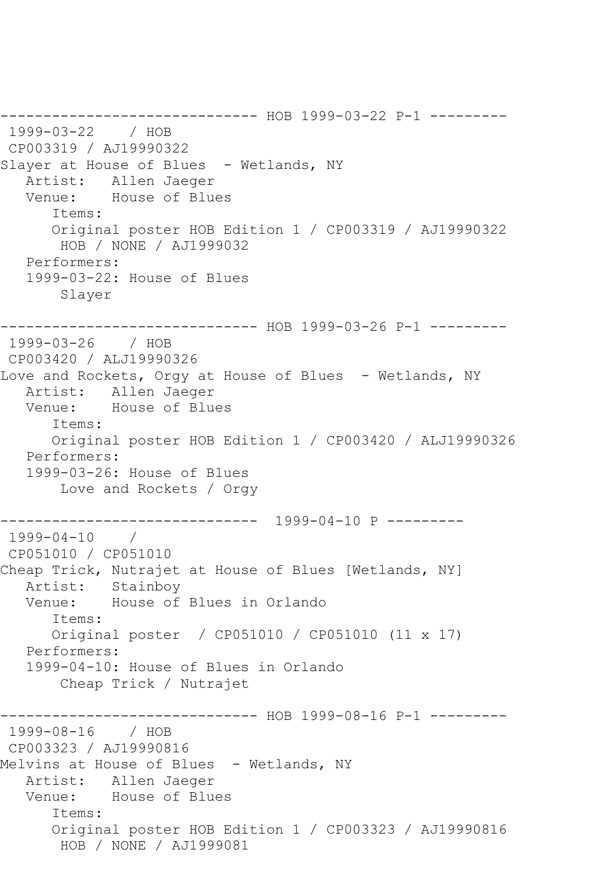------------------------------ HOB 1999-03-22 P-1 --------- 1999-03-22 / HOB CP003319 / AJ19990322 Slayer at House of Blues - Wetlands, NY Artist: Allen Jaeger<br>Venue: House of Blue House of Blues Items: Original poster HOB Edition 1 / CP003319 / AJ19990322 HOB / NONE / AJ1999032 Performers: 1999-03-22: House of Blues Slayer ------------------------------ HOB 1999-03-26 P-1 --------- 1999-03-26 / HOB CP003420 / ALJ19990326 Love and Rockets, Orgy at House of Blues - Wetlands, NY Artist: Allen Jaeger<br>Venue: House of Blue House of Blues Items: Original poster HOB Edition 1 / CP003420 / ALJ19990326 Performers: 1999-03-26: House of Blues Love and Rockets / Orgy ------------------------------ 1999-04-10 P --------- 1999-04-10 / CP051010 / CP051010 Cheap Trick, Nutrajet at House of Blues [Wetlands, NY] Artist: Stainboy Venue: House of Blues in Orlando Items: Original poster / CP051010 / CP051010 (11 x 17) Performers: 1999-04-10: House of Blues in Orlando Cheap Trick / Nutrajet ------------------------------ HOB 1999-08-16 P-1 --------- 1999-08-16 / HOB CP003323 / AJ19990816 Melvins at House of Blues - Wetlands, NY Artist: Allen Jaeger Venue: House of Blues Items: Original poster HOB Edition 1 / CP003323 / AJ19990816 HOB / NONE / AJ1999081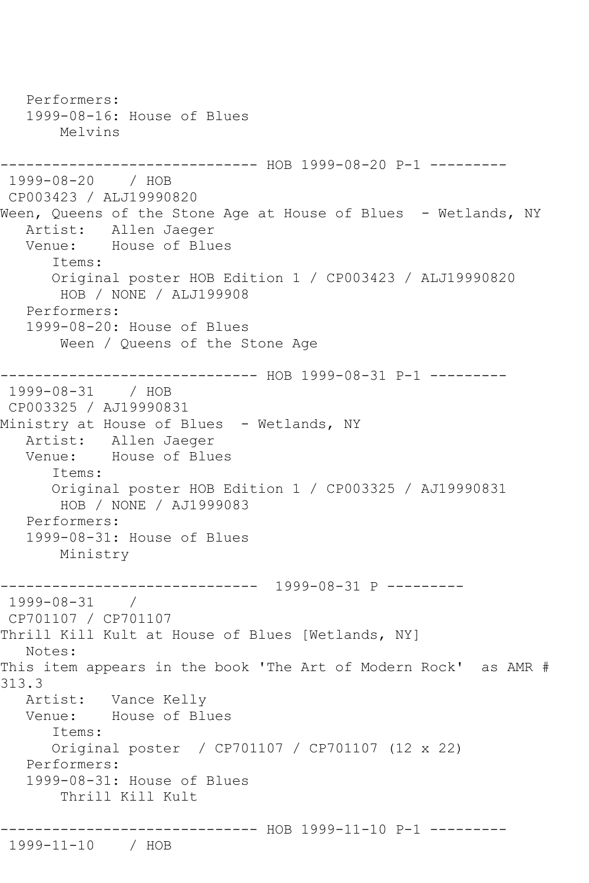Performers: 1999-08-16: House of Blues Melvins ------------------------------ HOB 1999-08-20 P-1 --------- 1999-08-20 / HOB CP003423 / ALJ19990820 Ween, Queens of the Stone Age at House of Blues - Wetlands, NY Artist: Allen Jaeger Venue: House of Blues Items: Original poster HOB Edition 1 / CP003423 / ALJ19990820 HOB / NONE / ALJ199908 Performers: 1999-08-20: House of Blues Ween / Queens of the Stone Age ------------------------------ HOB 1999-08-31 P-1 --------- 1999-08-31 / HOB CP003325 / AJ19990831 Ministry at House of Blues - Wetlands, NY<br>Artist: Allen Jaeqer Allen Jaeger Venue: House of Blues Items: Original poster HOB Edition 1 / CP003325 / AJ19990831 HOB / NONE / AJ1999083 Performers: 1999-08-31: House of Blues Ministry ------------------------------ 1999-08-31 P --------- 1999-08-31 / CP701107 / CP701107 Thrill Kill Kult at House of Blues [Wetlands, NY] Notes: This item appears in the book 'The Art of Modern Rock' as AMR # 313.3 Artist: Vance Kelly Venue: House of Blues Items: Original poster / CP701107 / CP701107 (12 x 22) Performers: 1999-08-31: House of Blues Thrill Kill Kult ------------------------------ HOB 1999-11-10 P-1 --------- 1999-11-10 / HOB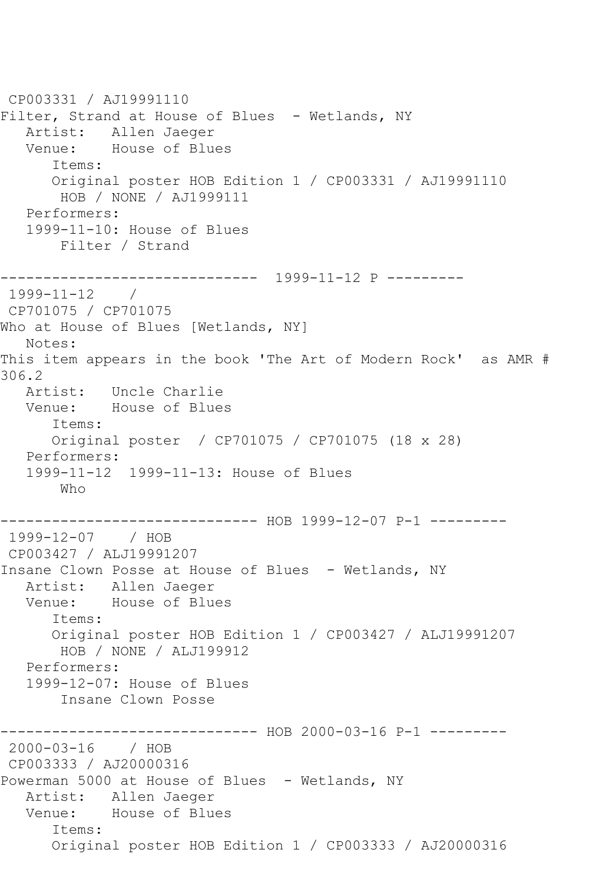CP003331 / AJ19991110 Filter, Strand at House of Blues - Wetlands, NY Artist: Allen Jaeger Venue: House of Blues Items: Original poster HOB Edition 1 / CP003331 / AJ19991110 HOB / NONE / AJ1999111 Performers: 1999-11-10: House of Blues Filter / Strand ------------------------------ 1999-11-12 P ---------  $1999 - 11 - 12$ CP701075 / CP701075 Who at House of Blues [Wetlands, NY] Notes: This item appears in the book 'The Art of Modern Rock' as AMR # 306.2<br>Artist: Uncle Charlie Venue: House of Blues Items: Original poster / CP701075 / CP701075 (18 x 28) Performers: 1999-11-12 1999-11-13: House of Blues Who ------------------------------ HOB 1999-12-07 P-1 --------- 1999-12-07 / HOB CP003427 / ALJ19991207 Insane Clown Posse at House of Blues - Wetlands, NY Artist: Allen Jaeger Venue: House of Blues Items: Original poster HOB Edition 1 / CP003427 / ALJ19991207 HOB / NONE / ALJ199912 Performers: 1999-12-07: House of Blues Insane Clown Posse ------------------------------ HOB 2000-03-16 P-1 ----------2000-03-16 / HOB CP003333 / AJ20000316 Powerman 5000 at House of Blues - Wetlands, NY Artist: Allen Jaeger Venue: House of Blues Items: Original poster HOB Edition 1 / CP003333 / AJ20000316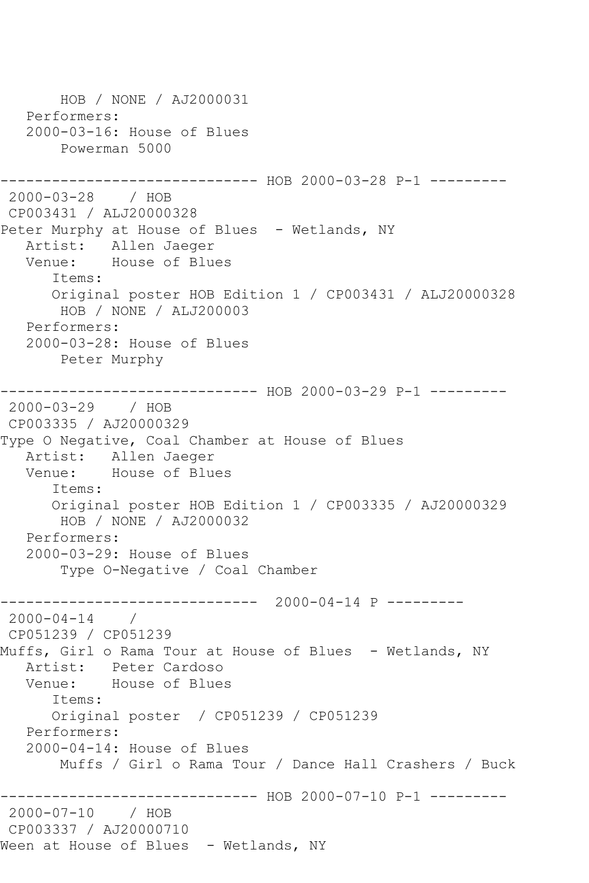HOB / NONE / AJ2000031 Performers: 2000-03-16: House of Blues Powerman 5000 ------------ HOB 2000-03-28 P-1 ---------2000-03-28 / HOB CP003431 / ALJ20000328 Peter Murphy at House of Blues - Wetlands, NY Artist: Allen Jaeger Venue: House of Blues Items: Original poster HOB Edition 1 / CP003431 / ALJ20000328 HOB / NONE / ALJ200003 Performers: 2000-03-28: House of Blues Peter Murphy ------------------------------ HOB 2000-03-29 P-1 --------- 2000-03-29 / HOB CP003335 / AJ20000329 Type O Negative, Coal Chamber at House of Blues Artist: Allen Jaeger Venue: House of Blues Items: Original poster HOB Edition 1 / CP003335 / AJ20000329 HOB / NONE / AJ2000032 Performers: 2000-03-29: House of Blues Type O-Negative / Coal Chamber ------------------------------ 2000-04-14 P ---------  $2000 - 04 - 14$  / CP051239 / CP051239 Muffs, Girl o Rama Tour at House of Blues - Wetlands, NY Artist: Peter Cardoso Venue: House of Blues Items: Original poster / CP051239 / CP051239 Performers: 2000-04-14: House of Blues Muffs / Girl o Rama Tour / Dance Hall Crashers / Buck ------------------------------ HOB 2000-07-10 P-1 --------- 2000-07-10 / HOB CP003337 / AJ20000710 Ween at House of Blues - Wetlands, NY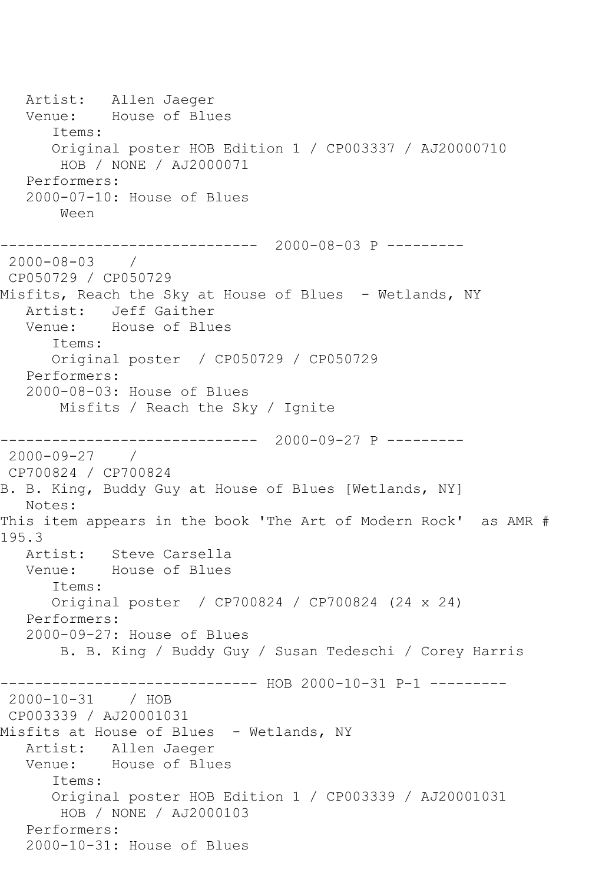Artist: Allen Jaeger<br>Venue: House of Blu House of Blues Items: Original poster HOB Edition 1 / CP003337 / AJ20000710 HOB / NONE / AJ2000071 Performers: 2000-07-10: House of Blues Ween ------------------------------ 2000-08-03 P --------- 2000-08-03 / CP050729 / CP050729 Misfits, Reach the Sky at House of Blues - Wetlands, NY Artist: Jeff Gaither<br>Venue: House of Blue House of Blues Items: Original poster / CP050729 / CP050729 Performers: 2000-08-03: House of Blues Misfits / Reach the Sky / Ignite ------------------------------ 2000-09-27 P --------- 2000-09-27 / CP700824 / CP700824 B. B. King, Buddy Guy at House of Blues [Wetlands, NY] Notes: This item appears in the book 'The Art of Modern Rock' as AMR # 195.3 Artist: Steve Carsella Venue: House of Blues Items: Original poster / CP700824 / CP700824 (24 x 24) Performers: 2000-09-27: House of Blues B. B. King / Buddy Guy / Susan Tedeschi / Corey Harris ------------------------------ HOB 2000-10-31 P-1 --------- 2000-10-31 / HOB CP003339 / AJ20001031 Misfits at House of Blues - Wetlands, NY Artist: Allen Jaeger Venue: House of Blues Items: Original poster HOB Edition 1 / CP003339 / AJ20001031 HOB / NONE / AJ2000103 Performers: 2000-10-31: House of Blues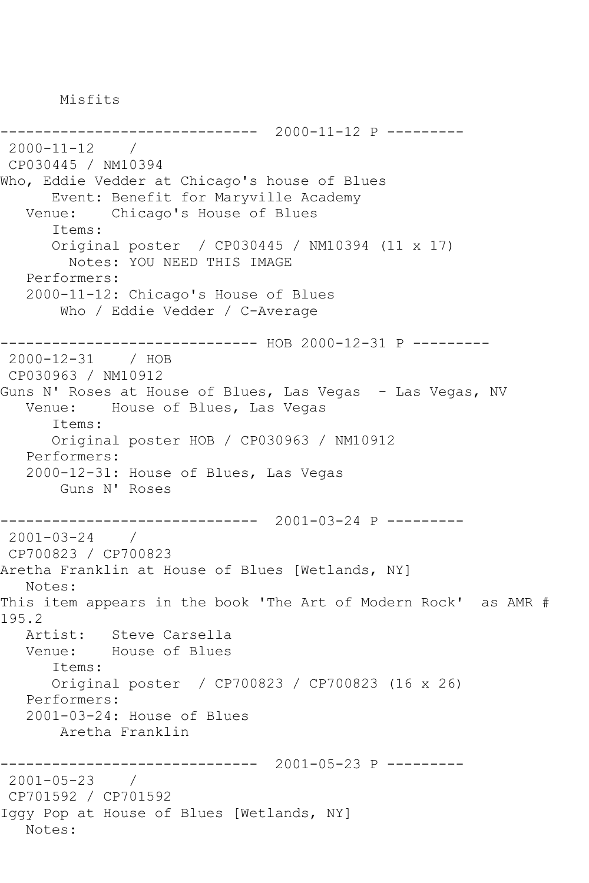Misfits

------------------------------ 2000-11-12 P --------- 2000-11-12 / CP030445 / NM10394 Who, Eddie Vedder at Chicago's house of Blues Event: Benefit for Maryville Academy Venue: Chicago's House of Blues Items: Original poster / CP030445 / NM10394 (11 x 17) Notes: YOU NEED THIS IMAGE Performers: 2000-11-12: Chicago's House of Blues Who / Eddie Vedder / C-Average ------------------------------ HOB 2000-12-31 P --------- 2000-12-31 / HOB CP030963 / NM10912 Guns N' Roses at House of Blues, Las Vegas - Las Vegas, NV Venue: House of Blues, Las Vegas Items: Original poster HOB / CP030963 / NM10912 Performers: 2000-12-31: House of Blues, Las Vegas Guns N' Roses ------------------------------ 2001-03-24 P --------- 2001-03-24 / CP700823 / CP700823 Aretha Franklin at House of Blues [Wetlands, NY] Notes: This item appears in the book 'The Art of Modern Rock' as AMR # 195.2 Artist: Steve Carsella Venue: House of Blues Items: Original poster / CP700823 / CP700823 (16 x 26) Performers: 2001-03-24: House of Blues Aretha Franklin ------------------------------ 2001-05-23 P --------- 2001-05-23 / CP701592 / CP701592 Iggy Pop at House of Blues [Wetlands, NY] Notes: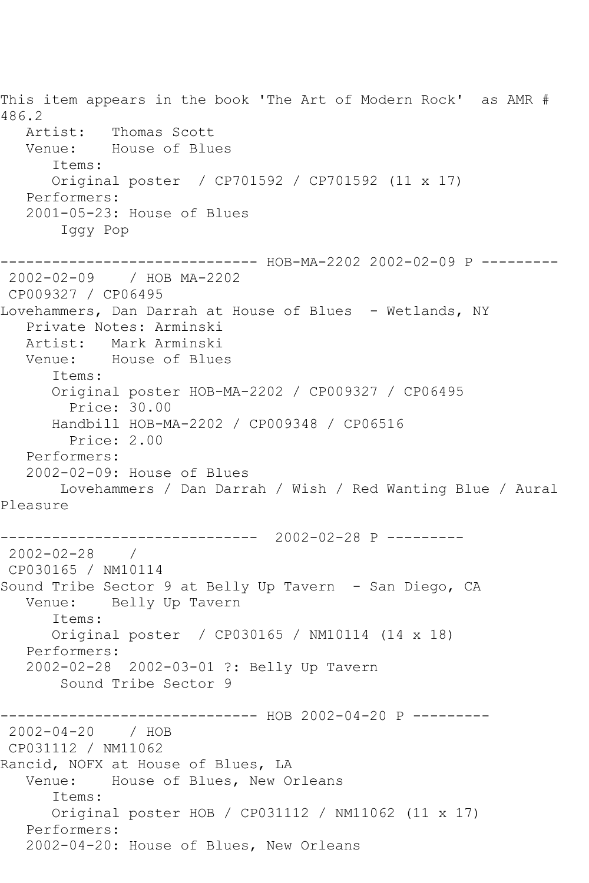This item appears in the book 'The Art of Modern Rock' as AMR # 486.2 Artist: Thomas Scott Venue: House of Blues Items: Original poster / CP701592 / CP701592 (11 x 17) Performers: 2001-05-23: House of Blues Iggy Pop ------------------------------ HOB-MA-2202 2002-02-09 P --------- 2002-02-09 / HOB MA-2202 CP009327 / CP06495 Lovehammers, Dan Darrah at House of Blues - Wetlands, NY Private Notes: Arminski Artist: Mark Arminski Venue: House of Blues Items: Original poster HOB-MA-2202 / CP009327 / CP06495 Price: 30.00 Handbill HOB-MA-2202 / CP009348 / CP06516 Price: 2.00 Performers: 2002-02-09: House of Blues Lovehammers / Dan Darrah / Wish / Red Wanting Blue / Aural Pleasure ------------------------------ 2002-02-28 P ---------  $2002 - 02 - 28$ CP030165 / NM10114 Sound Tribe Sector 9 at Belly Up Tavern - San Diego, CA Venue: Belly Up Tavern Items: Original poster / CP030165 / NM10114 (14 x 18) Performers: 2002-02-28 2002-03-01 ?: Belly Up Tavern Sound Tribe Sector 9 ------------------------------ HOB 2002-04-20 P --------- 2002-04-20 / HOB CP031112 / NM11062 Rancid, NOFX at House of Blues, LA Venue: House of Blues, New Orleans Items: Original poster HOB / CP031112 / NM11062 (11 x 17) Performers: 2002-04-20: House of Blues, New Orleans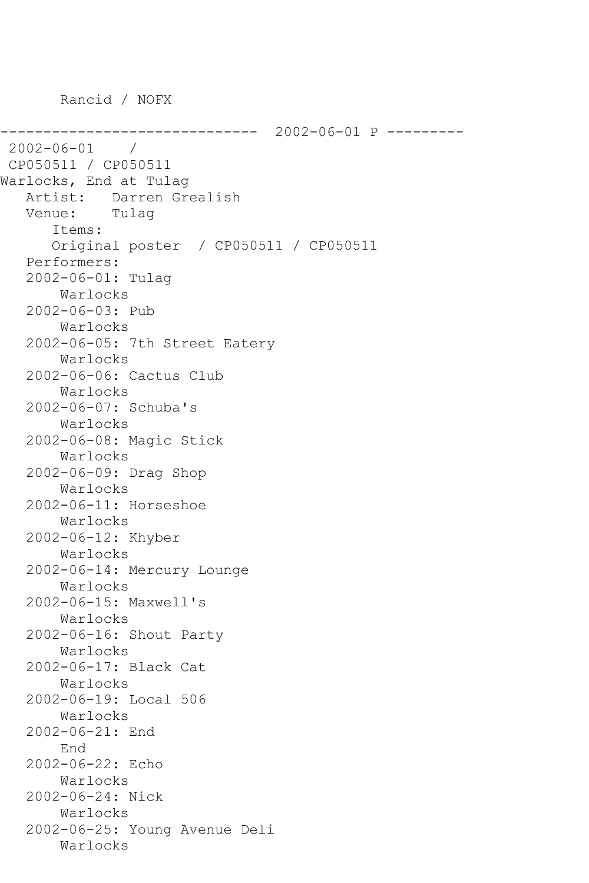Rancid / NOFX

```
------------------------------ 2002-06-01 P ---------
2002-06-01 / 
CP050511 / CP050511
Warlocks, End at Tulag
    Artist: Darren Grealish
    Venue: Tulag
       Items:
       Original poster / CP050511 / CP050511
    Performers:
    2002-06-01: Tulag
        Warlocks
    2002-06-03: Pub
        Warlocks
    2002-06-05: 7th Street Eatery
        Warlocks
    2002-06-06: Cactus Club
        Warlocks
    2002-06-07: Schuba's
        Warlocks
    2002-06-08: Magic Stick
        Warlocks
    2002-06-09: Drag Shop
        Warlocks
    2002-06-11: Horseshoe
        Warlocks
    2002-06-12: Khyber
        Warlocks
    2002-06-14: Mercury Lounge
        Warlocks
    2002-06-15: Maxwell's
        Warlocks
    2002-06-16: Shout Party
        Warlocks
    2002-06-17: Black Cat
        Warlocks
    2002-06-19: Local 506
        Warlocks
    2002-06-21: End
        End
    2002-06-22: Echo
        Warlocks
    2002-06-24: Nick
        Warlocks
    2002-06-25: Young Avenue Deli
        Warlocks
```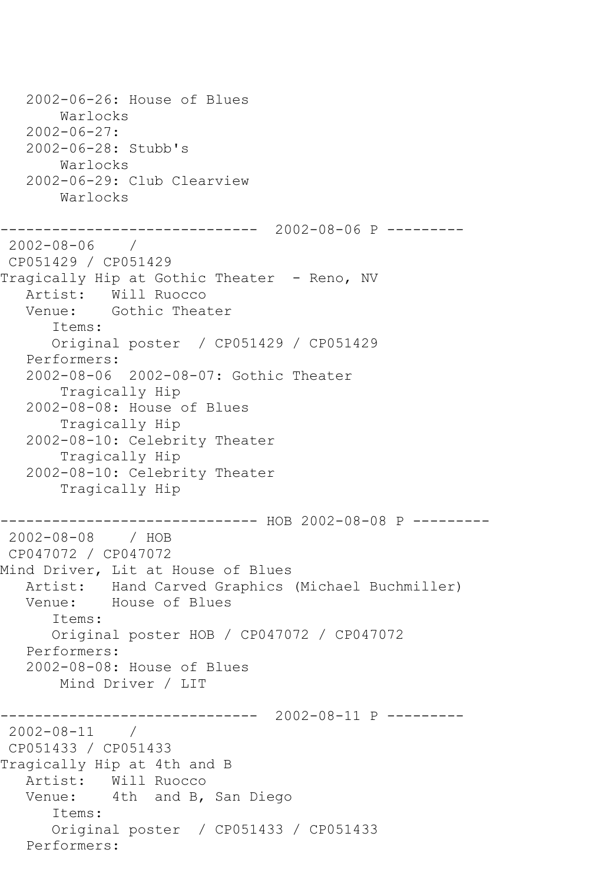2002-06-26: House of Blues Warlocks 2002-06-27: 2002-06-28: Stubb's Warlocks 2002-06-29: Club Clearview Warlocks ------------------------------ 2002-08-06 P --------- 2002-08-06 / CP051429 / CP051429 Tragically Hip at Gothic Theater - Reno, NV Artist: Will Ruocco Venue: Gothic Theater Items: Original poster / CP051429 / CP051429 Performers: 2002-08-06 2002-08-07: Gothic Theater Tragically Hip 2002-08-08: House of Blues Tragically Hip 2002-08-10: Celebrity Theater Tragically Hip 2002-08-10: Celebrity Theater Tragically Hip ------------------------------ HOB 2002-08-08 P ---------2002-08-08 / HOB CP047072 / CP047072 Mind Driver, Lit at House of Blues Artist: Hand Carved Graphics (Michael Buchmiller) Venue: House of Blues Items: Original poster HOB / CP047072 / CP047072 Performers: 2002-08-08: House of Blues Mind Driver / LIT ------------------------------ 2002-08-11 P --------- 2002-08-11 / CP051433 / CP051433 Tragically Hip at 4th and B Artist: Will Ruocco Venue: 4th and B, San Diego Items: Original poster / CP051433 / CP051433 Performers: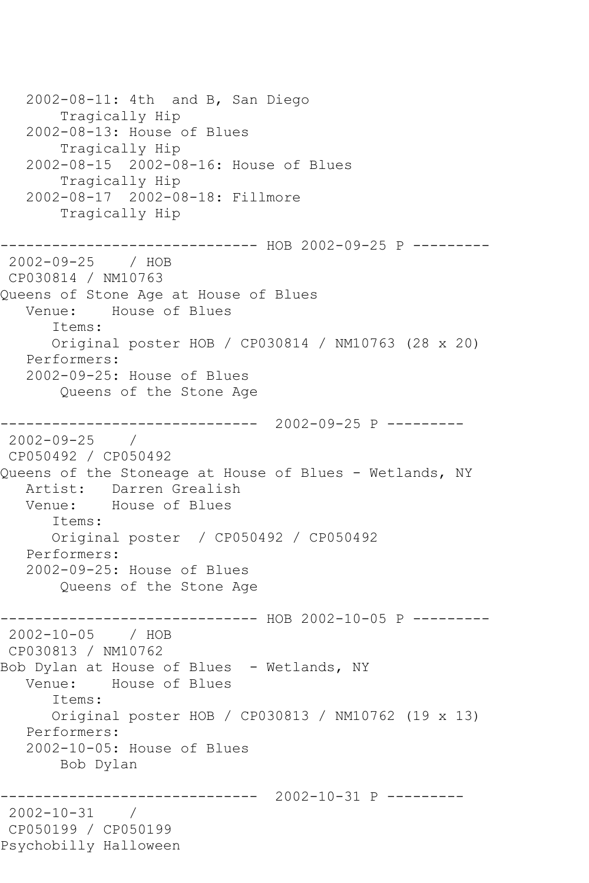2002-08-11: 4th and B, San Diego Tragically Hip 2002-08-13: House of Blues Tragically Hip 2002-08-15 2002-08-16: House of Blues Tragically Hip 2002-08-17 2002-08-18: Fillmore Tragically Hip ------------------------------ HOB 2002-09-25 P --------- 2002-09-25 / HOB CP030814 / NM10763 Queens of Stone Age at House of Blues Venue: House of Blues Items: Original poster HOB / CP030814 / NM10763 (28 x 20) Performers: 2002-09-25: House of Blues Queens of the Stone Age ------------------------------ 2002-09-25 P --------- 2002-09-25 / CP050492 / CP050492 Queens of the Stoneage at House of Blues - Wetlands, NY Artist: Darren Grealish<br>Venue: House of Blues House of Blues Items: Original poster / CP050492 / CP050492 Performers: 2002-09-25: House of Blues Queens of the Stone Age ------------------------------ HOB 2002-10-05 P ---------2002-10-05 / HOB CP030813 / NM10762 Bob Dylan at House of Blues - Wetlands, NY<br>Venue: House of Blues House of Blues Items: Original poster HOB / CP030813 / NM10762 (19 x 13) Performers: 2002-10-05: House of Blues Bob Dylan ------------------------------ 2002-10-31 P --------- 2002-10-31 / CP050199 / CP050199 Psychobilly Halloween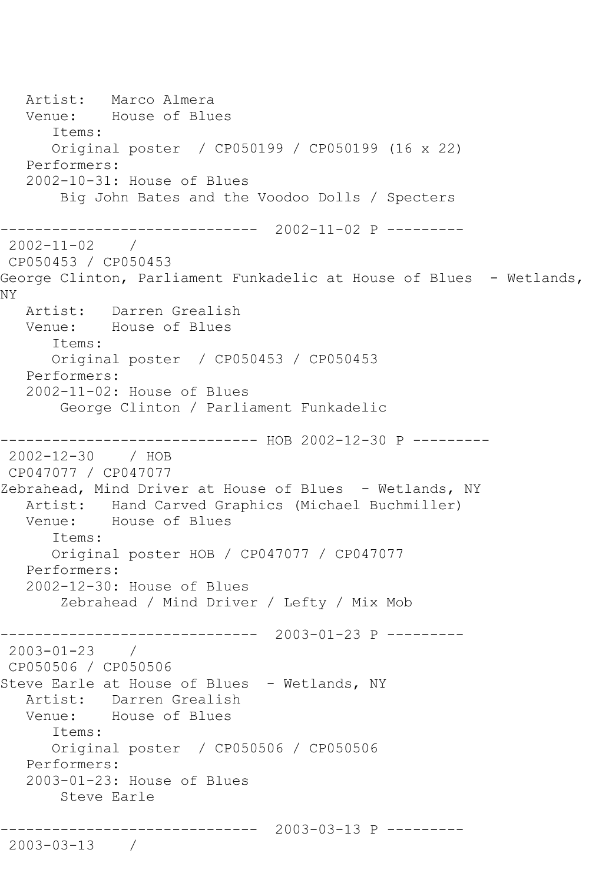Artist: Marco Almera Venue: House of Blues Items: Original poster / CP050199 / CP050199 (16 x 22) Performers: 2002-10-31: House of Blues Big John Bates and the Voodoo Dolls / Specters ------------------------------ 2002-11-02 P --------- 2002-11-02 / CP050453 / CP050453 George Clinton, Parliament Funkadelic at House of Blues - Wetlands, NY Artist: Darren Grealish Venue: House of Blues Items: Original poster / CP050453 / CP050453 Performers: 2002-11-02: House of Blues George Clinton / Parliament Funkadelic ----------- HOB 2002-12-30 P ---------2002-12-30 / HOB CP047077 / CP047077 Zebrahead, Mind Driver at House of Blues - Wetlands, NY Artist: Hand Carved Graphics (Michael Buchmiller) Venue: House of Blues Items: Original poster HOB / CP047077 / CP047077 Performers: 2002-12-30: House of Blues Zebrahead / Mind Driver / Lefty / Mix Mob ------------------------------ 2003-01-23 P --------- 2003-01-23 / CP050506 / CP050506 Steve Earle at House of Blues - Wetlands, NY Artist: Darren Grealish Venue: House of Blues Items: Original poster / CP050506 / CP050506 Performers: 2003-01-23: House of Blues Steve Earle ------------------------------ 2003-03-13 P --------- 2003-03-13 /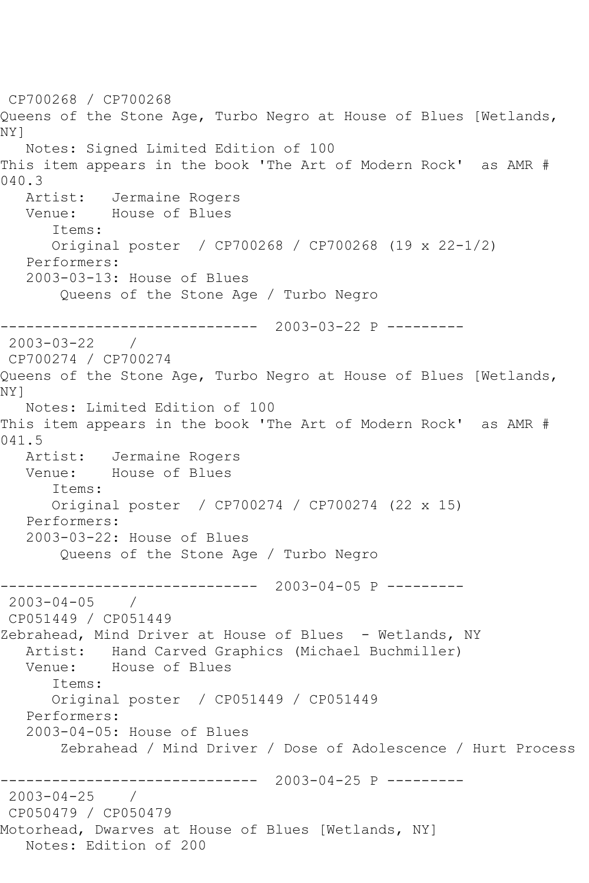CP700268 / CP700268 Queens of the Stone Age, Turbo Negro at House of Blues [Wetlands, NY] Notes: Signed Limited Edition of 100 This item appears in the book 'The Art of Modern Rock' as AMR # 040.3 Artist: Jermaine Rogers Venue: House of Blues Items: Original poster / CP700268 / CP700268 (19 x 22-1/2) Performers: 2003-03-13: House of Blues Queens of the Stone Age / Turbo Negro ------------------------------ 2003-03-22 P --------- 2003-03-22 / CP700274 / CP700274 Queens of the Stone Age, Turbo Negro at House of Blues [Wetlands, NY] Notes: Limited Edition of 100 This item appears in the book 'The Art of Modern Rock' as AMR # 041.5 Artist: Jermaine Rogers Venue: House of Blues Items: Original poster / CP700274 / CP700274 (22 x 15) Performers: 2003-03-22: House of Blues Queens of the Stone Age / Turbo Negro ------------------------------ 2003-04-05 P --------- 2003-04-05 / CP051449 / CP051449 Zebrahead, Mind Driver at House of Blues - Wetlands, NY Artist: Hand Carved Graphics (Michael Buchmiller) Venue: House of Blues Items: Original poster / CP051449 / CP051449 Performers: 2003-04-05: House of Blues Zebrahead / Mind Driver / Dose of Adolescence / Hurt Process ------------------------------ 2003-04-25 P --------- 2003-04-25 / CP050479 / CP050479 Motorhead, Dwarves at House of Blues [Wetlands, NY] Notes: Edition of 200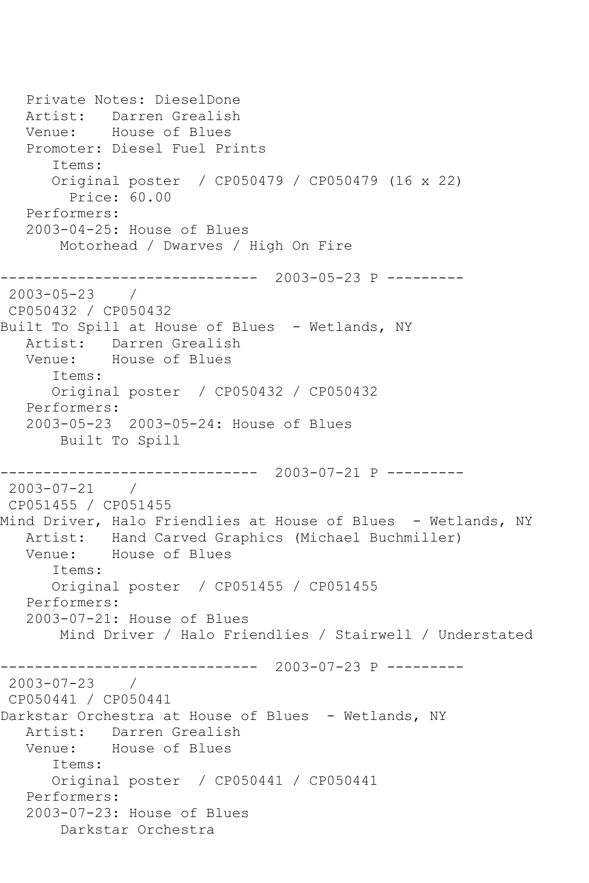```
 Private Notes: DieselDone
   Artist: Darren Grealish
   Venue: House of Blues
   Promoter: Diesel Fuel Prints
       Items:
      Original poster / CP050479 / CP050479 (16 x 22)
        Price: 60.00
   Performers:
   2003-04-25: House of Blues
       Motorhead / Dwarves / High On Fire
------------------------------ 2003-05-23 P ---------
2003-05-23 / 
CP050432 / CP050432
Built To Spill at House of Blues - Wetlands, NY
   Artist: Darren Grealish
   Venue: House of Blues
      Items:
      Original poster / CP050432 / CP050432
   Performers:
   2003-05-23 2003-05-24: House of Blues
       Built To Spill
------------------------------ 2003-07-21 P ---------
2003-07-21 / 
CP051455 / CP051455
Mind Driver, Halo Friendlies at House of Blues - Wetlands, NY
   Artist: Hand Carved Graphics (Michael Buchmiller)
   Venue: House of Blues
      Items:
      Original poster / CP051455 / CP051455
   Performers:
   2003-07-21: House of Blues
       Mind Driver / Halo Friendlies / Stairwell / Understated
------------------------------ 2003-07-23 P ---------
2003-07-23 / 
CP050441 / CP050441
Darkstar Orchestra at House of Blues - Wetlands, NY
   Artist: Darren Grealish
   Venue: House of Blues
      Items:
      Original poster / CP050441 / CP050441
   Performers:
   2003-07-23: House of Blues
        Darkstar Orchestra
```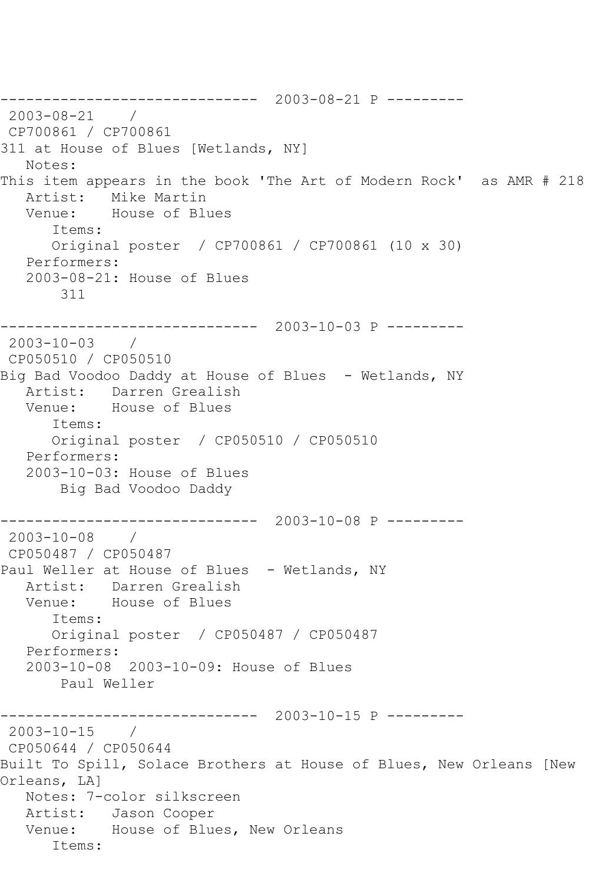------------------------------ 2003-08-21 P --------- 2003-08-21 / CP700861 / CP700861 311 at House of Blues [Wetlands, NY] Notes: This item appears in the book 'The Art of Modern Rock' as AMR # 218 Artist: Mike Martin Venue: House of Blues Items: Original poster / CP700861 / CP700861 (10 x 30) Performers: 2003-08-21: House of Blues 311 ------------------------------ 2003-10-03 P --------- 2003-10-03 / CP050510 / CP050510 Big Bad Voodoo Daddy at House of Blues - Wetlands, NY Artist: Darren Grealish<br>Venue: House of Blues House of Blues Items: Original poster / CP050510 / CP050510 Performers: 2003-10-03: House of Blues Big Bad Voodoo Daddy ------------------------------ 2003-10-08 P --------- 2003-10-08 / CP050487 / CP050487 Paul Weller at House of Blues - Wetlands, NY Artist: Darren Grealish Venue: House of Blues Items: Original poster / CP050487 / CP050487 Performers: 2003-10-08 2003-10-09: House of Blues Paul Weller ------------------------------ 2003-10-15 P ---------  $2003 - 10 - 15$  / CP050644 / CP050644 Built To Spill, Solace Brothers at House of Blues, New Orleans [New Orleans, LA] Notes: 7-color silkscreen Artist: Jason Cooper Venue: House of Blues, New Orleans Items: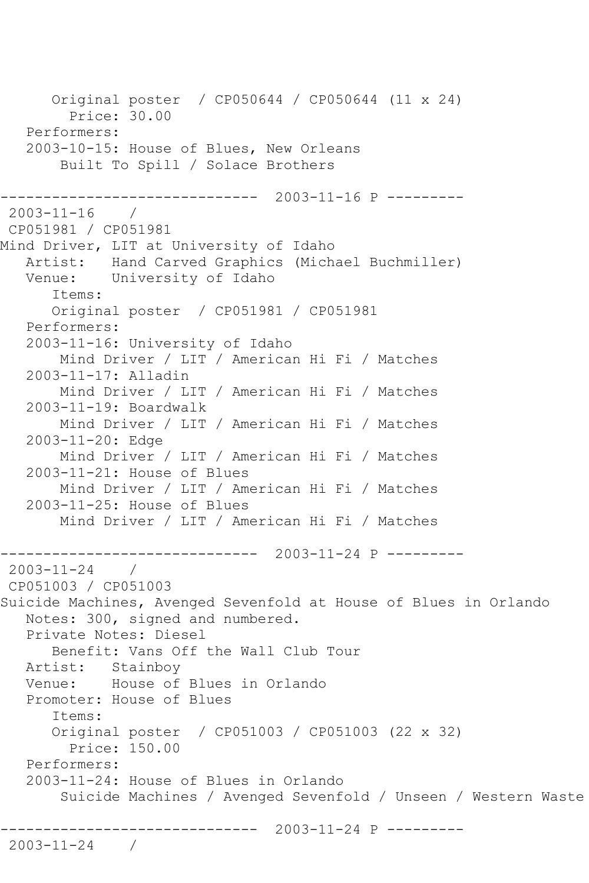Original poster / CP050644 / CP050644 (11 x 24) Price: 30.00 Performers: 2003-10-15: House of Blues, New Orleans Built To Spill / Solace Brothers ------------------------------ 2003-11-16 P --------- 2003-11-16 / CP051981 / CP051981 Mind Driver, LIT at University of Idaho Artist: Hand Carved Graphics (Michael Buchmiller) Venue: University of Idaho Items: Original poster / CP051981 / CP051981 Performers: 2003-11-16: University of Idaho Mind Driver / LIT / American Hi Fi / Matches 2003-11-17: Alladin Mind Driver / LIT / American Hi Fi / Matches 2003-11-19: Boardwalk Mind Driver / LIT / American Hi Fi / Matches 2003-11-20: Edge Mind Driver / LIT / American Hi Fi / Matches 2003-11-21: House of Blues Mind Driver / LIT / American Hi Fi / Matches 2003-11-25: House of Blues Mind Driver / LIT / American Hi Fi / Matches ------------------------------ 2003-11-24 P --------- 2003-11-24 / CP051003 / CP051003 Suicide Machines, Avenged Sevenfold at House of Blues in Orlando Notes: 300, signed and numbered. Private Notes: Diesel Benefit: Vans Off the Wall Club Tour Artist: Stainboy Venue: House of Blues in Orlando Promoter: House of Blues Items: Original poster / CP051003 / CP051003 (22 x 32) Price: 150.00 Performers: 2003-11-24: House of Blues in Orlando Suicide Machines / Avenged Sevenfold / Unseen / Western Waste ------------------------------ 2003-11-24 P --------- 2003-11-24 /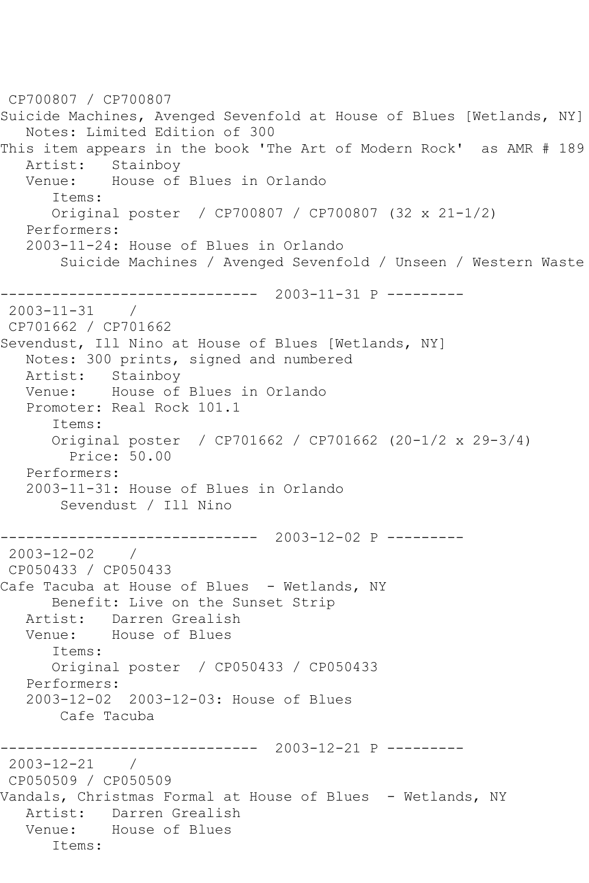CP700807 / CP700807 Suicide Machines, Avenged Sevenfold at House of Blues [Wetlands, NY] Notes: Limited Edition of 300 This item appears in the book 'The Art of Modern Rock' as AMR # 189 Artist: Stainboy Venue: House of Blues in Orlando Items: Original poster / CP700807 / CP700807 (32 x 21-1/2) Performers: 2003-11-24: House of Blues in Orlando Suicide Machines / Avenged Sevenfold / Unseen / Western Waste ------------------------------ 2003-11-31 P --------- 2003-11-31 / CP701662 / CP701662 Sevendust, Ill Nino at House of Blues [Wetlands, NY] Notes: 300 prints, signed and numbered Artist: Stainboy Venue: House of Blues in Orlando Promoter: Real Rock 101.1 Items: Original poster / CP701662 / CP701662 (20-1/2 x 29-3/4) Price: 50.00 Performers: 2003-11-31: House of Blues in Orlando Sevendust / Ill Nino ------------------------------ 2003-12-02 P --------- 2003-12-02 / CP050433 / CP050433 Cafe Tacuba at House of Blues - Wetlands, NY Benefit: Live on the Sunset Strip Artist: Darren Grealish<br>Venue: House of Blues House of Blues Items: Original poster / CP050433 / CP050433 Performers: 2003-12-02 2003-12-03: House of Blues Cafe Tacuba ------------------------------ 2003-12-21 P --------- 2003-12-21 / CP050509 / CP050509 Vandals, Christmas Formal at House of Blues - Wetlands, NY Artist: Darren Grealish Venue: House of Blues Items: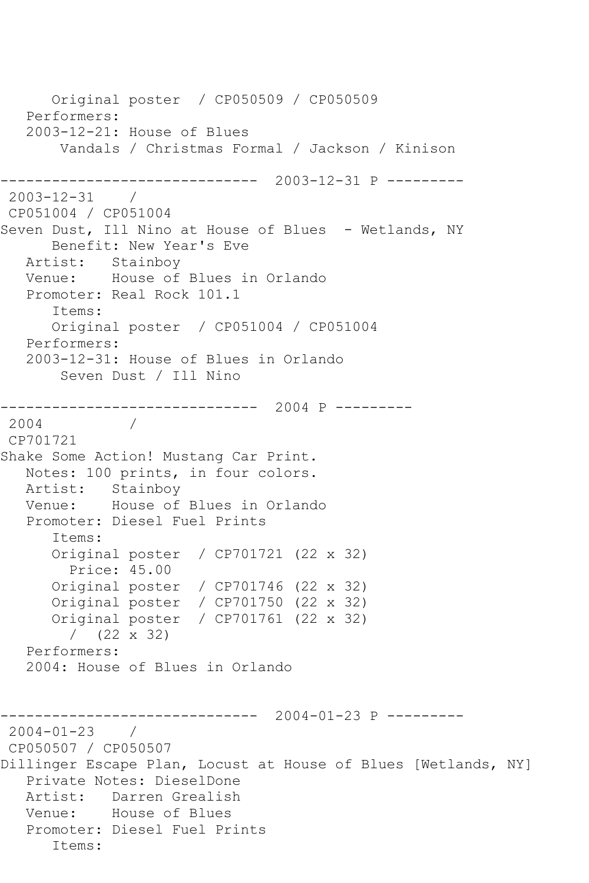Original poster / CP050509 / CP050509 Performers: 2003-12-21: House of Blues Vandals / Christmas Formal / Jackson / Kinison ------------------------------ 2003-12-31 P --------- 2003-12-31 / CP051004 / CP051004 Seven Dust, Ill Nino at House of Blues - Wetlands, NY Benefit: New Year's Eve Artist: Stainboy Venue: House of Blues in Orlando Promoter: Real Rock 101.1 Items: Original poster / CP051004 / CP051004 Performers: 2003-12-31: House of Blues in Orlando Seven Dust / Ill Nino ------------------------------ 2004 P --------- 2004 / CP701721 Shake Some Action! Mustang Car Print. Notes: 100 prints, in four colors. Artist: Stainboy<br>Venue: House of House of Blues in Orlando Promoter: Diesel Fuel Prints Items: Original poster / CP701721 (22 x 32) Price: 45.00 Original poster / CP701746 (22 x 32) Original poster / CP701750 (22 x 32) Original poster / CP701761 (22 x 32) / (22 x 32) Performers: 2004: House of Blues in Orlando ------------------------------ 2004-01-23 P ---------  $2004 - 01 - 23$ CP050507 / CP050507 Dillinger Escape Plan, Locust at House of Blues [Wetlands, NY] Private Notes: DieselDone Artist: Darren Grealish Venue: House of Blues Promoter: Diesel Fuel Prints Items: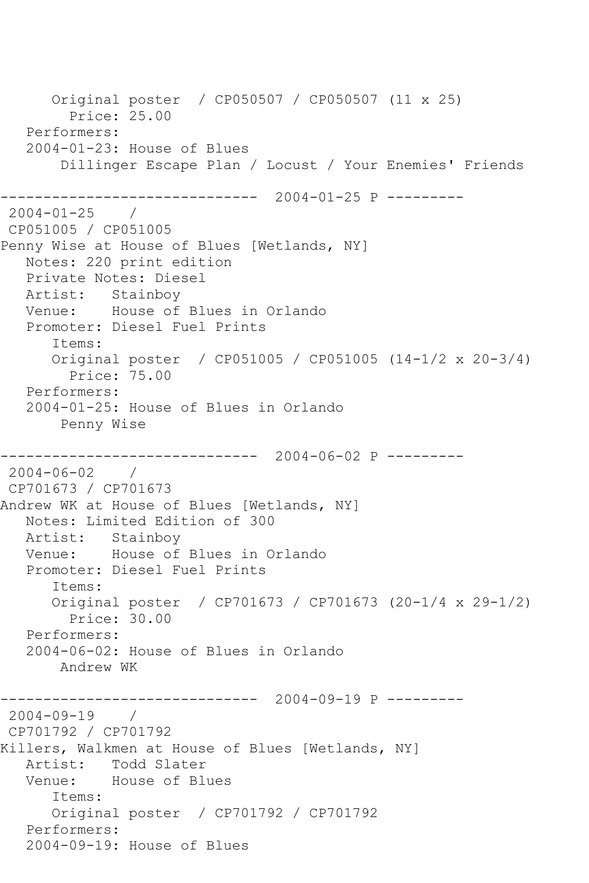Original poster / CP050507 / CP050507 (11 x 25) Price: 25.00 Performers: 2004-01-23: House of Blues Dillinger Escape Plan / Locust / Your Enemies' Friends ------------------------------ 2004-01-25 P --------- 2004-01-25 / CP051005 / CP051005 Penny Wise at House of Blues [Wetlands, NY] Notes: 220 print edition Private Notes: Diesel Artist: Stainboy Venue: House of Blues in Orlando Promoter: Diesel Fuel Prints Items: Original poster / CP051005 / CP051005 (14-1/2 x 20-3/4) Price: 75.00 Performers: 2004-01-25: House of Blues in Orlando Penny Wise ------------------------------ 2004-06-02 P --------- 2004-06-02 / CP701673 / CP701673 Andrew WK at House of Blues [Wetlands, NY] Notes: Limited Edition of 300 Artist: Stainboy Venue: House of Blues in Orlando Promoter: Diesel Fuel Prints Items: Original poster / CP701673 / CP701673 (20-1/4 x 29-1/2) Price: 30.00 Performers: 2004-06-02: House of Blues in Orlando Andrew WK ------------------------------ 2004-09-19 P --------- 2004-09-19 / CP701792 / CP701792 Killers, Walkmen at House of Blues [Wetlands, NY] Artist: Todd Slater Venue: House of Blues Items: Original poster / CP701792 / CP701792 Performers: 2004-09-19: House of Blues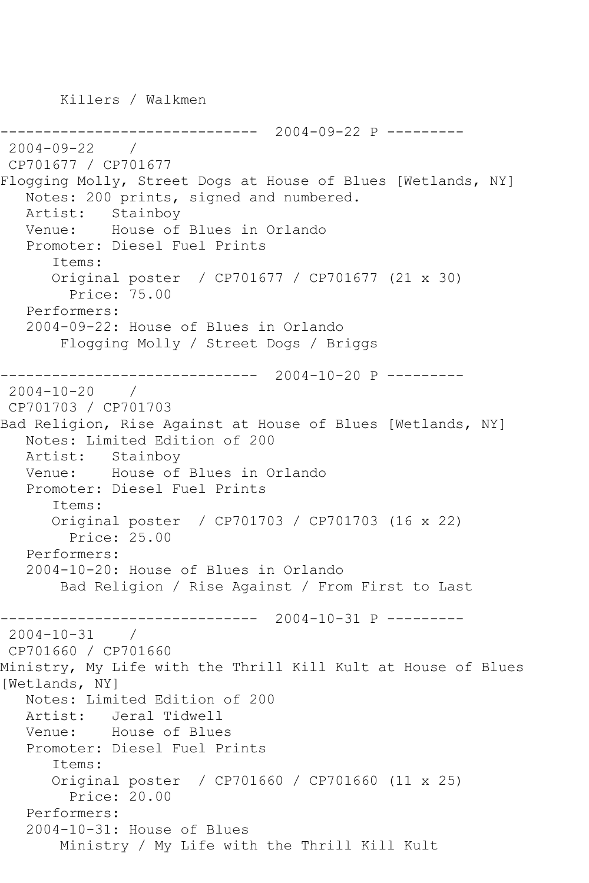Killers / Walkmen

------------------------------ 2004-09-22 P --------- 2004-09-22 / CP701677 / CP701677 Flogging Molly, Street Dogs at House of Blues [Wetlands, NY] Notes: 200 prints, signed and numbered. Artist: Stainboy Venue: House of Blues in Orlando Promoter: Diesel Fuel Prints Items: Original poster / CP701677 / CP701677 (21 x 30) Price: 75.00 Performers: 2004-09-22: House of Blues in Orlando Flogging Molly / Street Dogs / Briggs ------------------------------ 2004-10-20 P --------- 2004-10-20 / CP701703 / CP701703 Bad Religion, Rise Against at House of Blues [Wetlands, NY] Notes: Limited Edition of 200 Artist: Stainboy Venue: House of Blues in Orlando Promoter: Diesel Fuel Prints Items: Original poster / CP701703 / CP701703 (16 x 22) Price: 25.00 Performers: 2004-10-20: House of Blues in Orlando Bad Religion / Rise Against / From First to Last ------------------------------ 2004-10-31 P ---------  $2004 - 10 - 31$ CP701660 / CP701660 Ministry, My Life with the Thrill Kill Kult at House of Blues [Wetlands, NY] Notes: Limited Edition of 200 Artist: Jeral Tidwell Venue: House of Blues Promoter: Diesel Fuel Prints Items: Original poster / CP701660 / CP701660 (11 x 25) Price: 20.00 Performers: 2004-10-31: House of Blues Ministry / My Life with the Thrill Kill Kult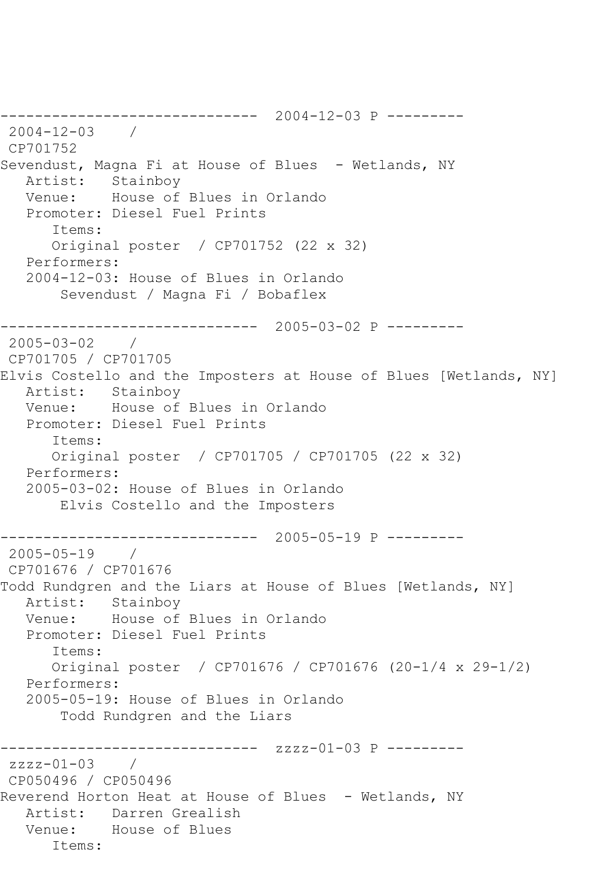------------------------------ 2004-12-03 P --------- 2004-12-03 / CP701752 Sevendust, Magna Fi at House of Blues - Wetlands, NY Artist: Stainboy Venue: House of Blues in Orlando Promoter: Diesel Fuel Prints Items: Original poster / CP701752 (22 x 32) Performers: 2004-12-03: House of Blues in Orlando Sevendust / Magna Fi / Bobaflex ------------------------------ 2005-03-02 P --------- 2005-03-02 / CP701705 / CP701705 Elvis Costello and the Imposters at House of Blues [Wetlands, NY] Artist: Stainboy Venue: House of Blues in Orlando Promoter: Diesel Fuel Prints Items: Original poster / CP701705 / CP701705 (22 x 32) Performers: 2005-03-02: House of Blues in Orlando Elvis Costello and the Imposters ------------------------------ 2005-05-19 P ---------  $2005 - 05 - 19$ CP701676 / CP701676 Todd Rundgren and the Liars at House of Blues [Wetlands, NY] Artist: Stainboy Venue: House of Blues in Orlando Promoter: Diesel Fuel Prints Items: Original poster / CP701676 / CP701676 (20-1/4 x 29-1/2) Performers: 2005-05-19: House of Blues in Orlando Todd Rundgren and the Liars ------------------------------ zzzz-01-03 P --------  $zzzz-01-03$ CP050496 / CP050496 Reverend Horton Heat at House of Blues - Wetlands, NY Artist: Darren Grealish Venue: House of Blues Items: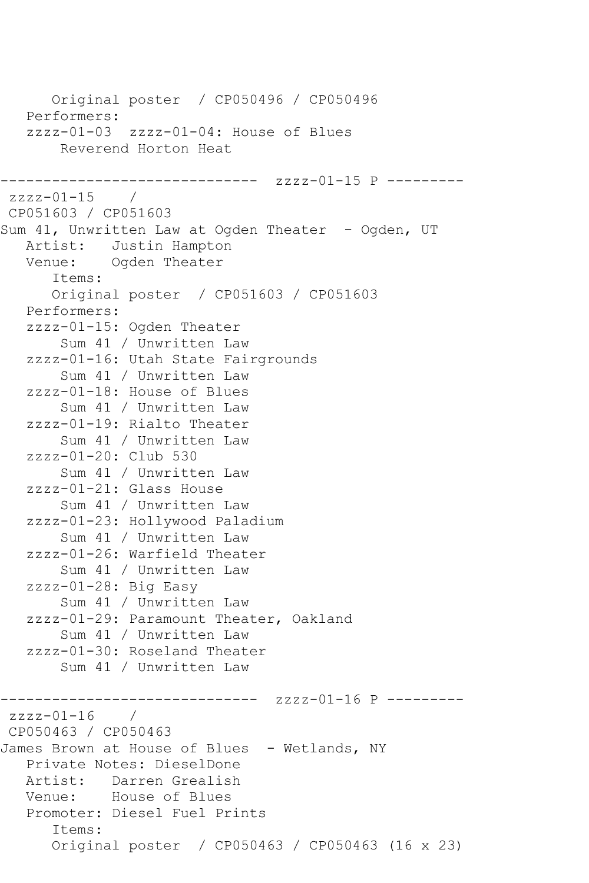Original poster / CP050496 / CP050496 Performers: zzzz-01-03 zzzz-01-04: House of Blues Reverend Horton Heat -------------------- zzzz-01-15 P --------zzzz-01-15 / CP051603 / CP051603 Sum 41, Unwritten Law at Ogden Theater - Ogden, UT Artist: Justin Hampton<br>Venue: Ogden Theater Ogden Theater Items: Original poster / CP051603 / CP051603 Performers: zzzz-01-15: Ogden Theater Sum 41 / Unwritten Law zzzz-01-16: Utah State Fairgrounds Sum 41 / Unwritten Law zzzz-01-18: House of Blues Sum 41 / Unwritten Law zzzz-01-19: Rialto Theater Sum 41 / Unwritten Law zzzz-01-20: Club 530 Sum 41 / Unwritten Law zzzz-01-21: Glass House Sum 41 / Unwritten Law zzzz-01-23: Hollywood Paladium Sum 41 / Unwritten Law zzzz-01-26: Warfield Theater Sum 41 / Unwritten Law zzzz-01-28: Big Easy Sum 41 / Unwritten Law zzzz-01-29: Paramount Theater, Oakland Sum 41 / Unwritten Law zzzz-01-30: Roseland Theater Sum 41 / Unwritten Law ------------------------------ zzzz-01-16 P -------- zzzz-01-16 / CP050463 / CP050463 James Brown at House of Blues - Wetlands, NY Private Notes: DieselDone Artist: Darren Grealish<br>Venue: House of Blues House of Blues Promoter: Diesel Fuel Prints Items: Original poster / CP050463 / CP050463 (16 x 23)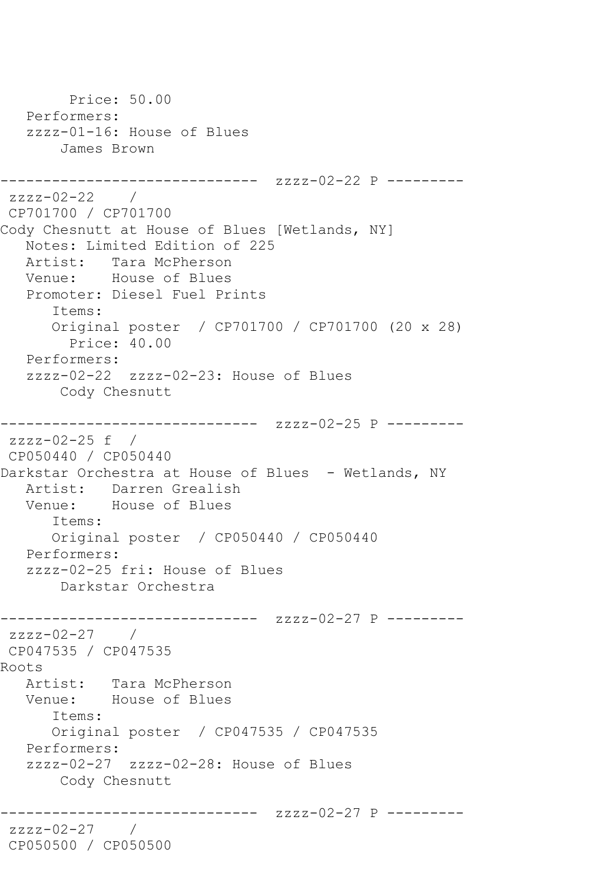```
 Price: 50.00
   Performers:
    zzzz-01-16: House of Blues
        James Brown
------------------------------ zzzz-02-22 P ---------
zzzz-02-22 / 
CP701700 / CP701700
Cody Chesnutt at House of Blues [Wetlands, NY]
   Notes: Limited Edition of 225
  Artist: Tara McPherson<br>Venue: House of Blues
            House of Blues
    Promoter: Diesel Fuel Prints
       Items:
       Original poster / CP701700 / CP701700 (20 x 28)
         Price: 40.00
   Performers:
    zzzz-02-22 zzzz-02-23: House of Blues
        Cody Chesnutt
------------------------------ zzzz-02-25 P ---------
zzzz-02-25 f / 
CP050440 / CP050440
Darkstar Orchestra at House of Blues - Wetlands, NY
  Artist: Darren Grealish<br>Venue: House of Blues
            House of Blues
       Items:
       Original poster / CP050440 / CP050440
   Performers:
    zzzz-02-25 fri: House of Blues
        Darkstar Orchestra
------------------------------ zzzz-02-27 P ---------
zzzz-02-27 /
CP047535 / CP047535
Roots
   Artist: Tara McPherson
   Venue: House of Blues
       Items:
       Original poster / CP047535 / CP047535
   Performers:
    zzzz-02-27 zzzz-02-28: House of Blues
        Cody Chesnutt
                  ------------- zzzz-02-27 P ---------
zzzz-02-27 / 
CP050500 / CP050500
```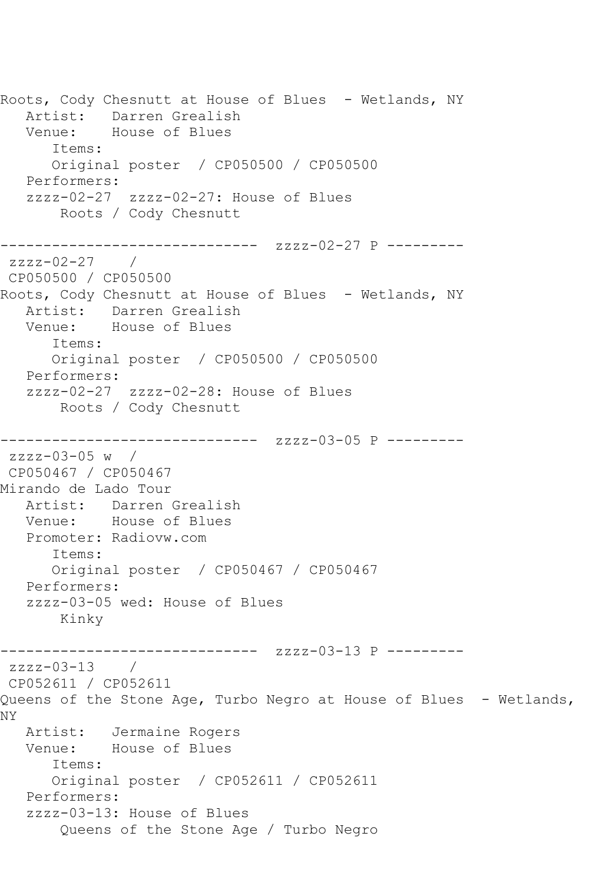Roots, Cody Chesnutt at House of Blues - Wetlands, NY Artist: Darren Grealish Venue: House of Blues Items: Original poster / CP050500 / CP050500 Performers: zzzz-02-27 zzzz-02-27: House of Blues Roots / Cody Chesnutt ------------------------------ zzzz-02-27 P -------- zzzz-02-27 / CP050500 / CP050500 Roots, Cody Chesnutt at House of Blues - Wetlands, NY Artist: Darren Grealish Venue: House of Blues Items: Original poster / CP050500 / CP050500 Performers: zzzz-02-27 zzzz-02-28: House of Blues Roots / Cody Chesnutt ------------------------------ zzzz-03-05 P -------- zzzz-03-05 w / CP050467 / CP050467 Mirando de Lado Tour Artist: Darren Grealish Venue: House of Blues Promoter: Radiovw.com Items: Original poster / CP050467 / CP050467 Performers: zzzz-03-05 wed: House of Blues Kinky ------------------------------ zzzz-03-13 P -------- zzzz-03-13 / CP052611 / CP052611 Queens of the Stone Age, Turbo Negro at House of Blues - Wetlands, NY Artist: Jermaine Rogers Venue: House of Blues Items: Original poster / CP052611 / CP052611 Performers: zzzz-03-13: House of Blues Queens of the Stone Age / Turbo Negro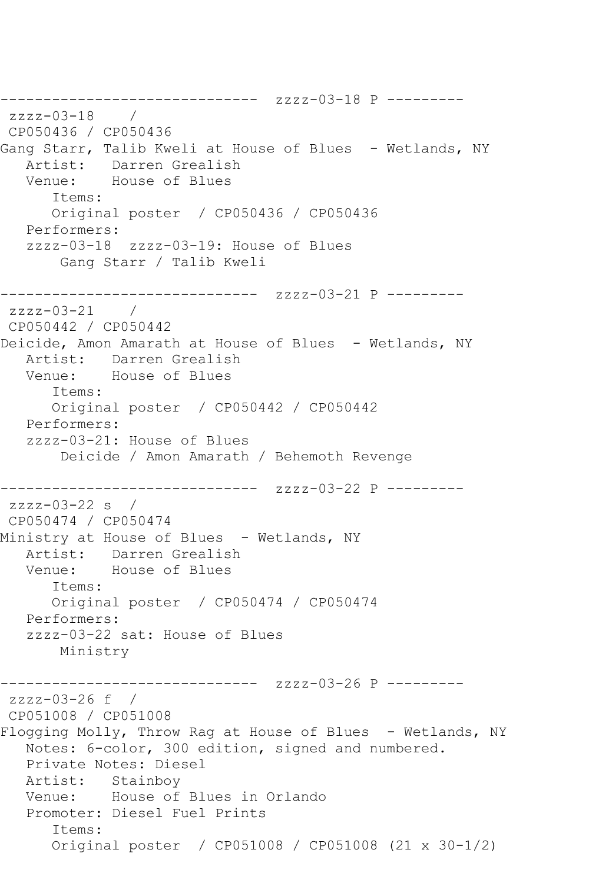------------------------------ zzzz-03-18 P -------- zzzz-03-18 / CP050436 / CP050436 Gang Starr, Talib Kweli at House of Blues - Wetlands, NY Artist: Darren Grealish Venue: House of Blues Items: Original poster / CP050436 / CP050436 Performers: zzzz-03-18 zzzz-03-19: House of Blues Gang Starr / Talib Kweli ------------------------------ zzzz-03-21 P -------- zzzz-03-21 / CP050442 / CP050442 Deicide, Amon Amarath at House of Blues - Wetlands, NY Artist: Darren Grealish<br>Venue: House of Blues House of Blues Items: Original poster / CP050442 / CP050442 Performers: zzzz-03-21: House of Blues Deicide / Amon Amarath / Behemoth Revenge ------------------------------ zzzz-03-22 P --------  $zzzz-03-22$  s / CP050474 / CP050474 Ministry at House of Blues - Wetlands, NY Artist: Darren Grealish Venue: House of Blues Items: Original poster / CP050474 / CP050474 Performers: zzzz-03-22 sat: House of Blues Ministry ------------------------------ zzzz-03-26 P -------- zzzz-03-26 f / CP051008 / CP051008 Flogging Molly, Throw Rag at House of Blues - Wetlands, NY Notes: 6-color, 300 edition, signed and numbered. Private Notes: Diesel Artist: Stainboy Venue: House of Blues in Orlando Promoter: Diesel Fuel Prints Items: Original poster / CP051008 / CP051008 (21 x 30-1/2)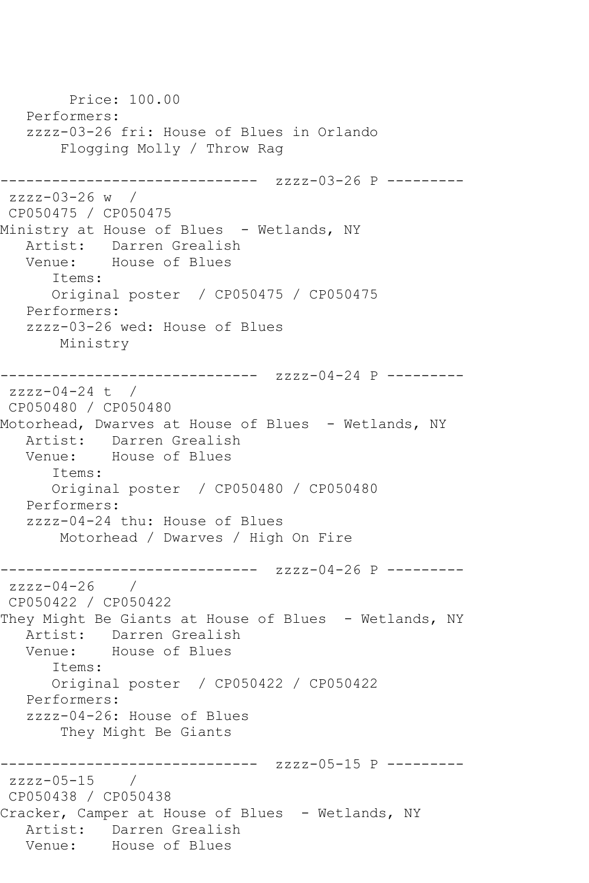Price: 100.00 Performers: zzzz-03-26 fri: House of Blues in Orlando Flogging Molly / Throw Rag ------------------------------ zzzz-03-26 P -------- zzzz-03-26 w / CP050475 / CP050475 Ministry at House of Blues - Wetlands, NY Artist: Darren Grealish Venue: House of Blues Items: Original poster / CP050475 / CP050475 Performers: zzzz-03-26 wed: House of Blues Ministry ------------------------------ zzzz-04-24 P -------- zzzz-04-24 t / CP050480 / CP050480 Motorhead, Dwarves at House of Blues - Wetlands, NY Artist: Darren Grealish Venue: House of Blues Items: Original poster / CP050480 / CP050480 Performers: zzzz-04-24 thu: House of Blues Motorhead / Dwarves / High On Fire ------------------------------ zzzz-04-26 P -------- zzzz-04-26 / CP050422 / CP050422 They Might Be Giants at House of Blues - Wetlands, NY Artist: Darren Grealish Venue: House of Blues Items: Original poster / CP050422 / CP050422 Performers: zzzz-04-26: House of Blues They Might Be Giants ------------------------------ zzzz-05-15 P -------- zzzz-05-15 / CP050438 / CP050438 Cracker, Camper at House of Blues - Wetlands, NY Artist: Darren Grealish<br>Venue: House of Blues House of Blues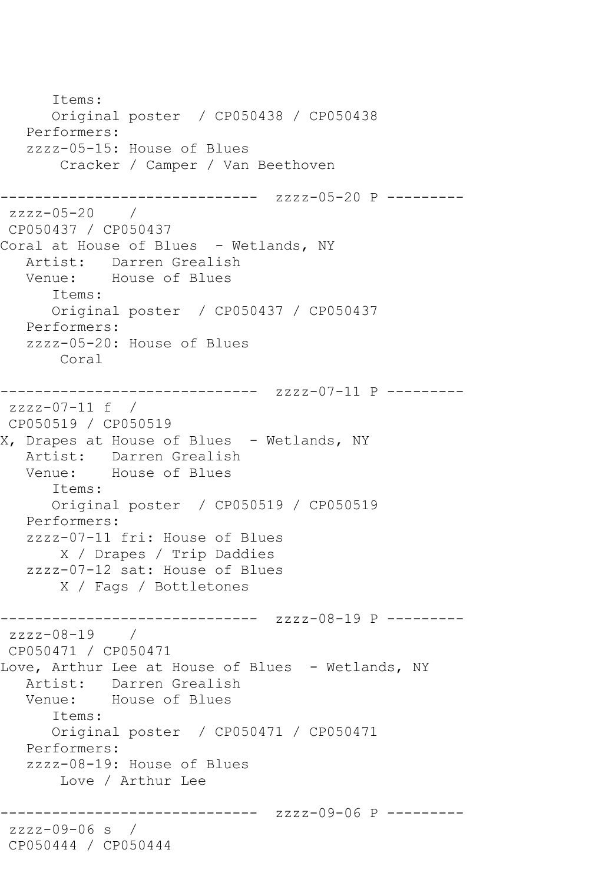Items: Original poster / CP050438 / CP050438 Performers: zzzz-05-15: House of Blues Cracker / Camper / Van Beethoven ------------------------------ zzzz-05-20 P -------- zzzz-05-20 / CP050437 / CP050437 Coral at House of Blues - Wetlands, NY Artist: Darren Grealish Venue: House of Blues Items: Original poster / CP050437 / CP050437 Performers: zzzz-05-20: House of Blues Coral ------------------------------ zzzz-07-11 P -------- zzzz-07-11 f / CP050519 / CP050519 X, Drapes at House of Blues - Wetlands, NY Artist: Darren Grealish<br>Venue: House of Blues House of Blues Items: Original poster / CP050519 / CP050519 Performers: zzzz-07-11 fri: House of Blues X / Drapes / Trip Daddies zzzz-07-12 sat: House of Blues X / Fags / Bottletones ------------------------------ zzzz-08-19 P --------  $zzzz-08-19$  / CP050471 / CP050471 Love, Arthur Lee at House of Blues - Wetlands, NY Artist: Darren Grealish Venue: House of Blues Items: Original poster / CP050471 / CP050471 Performers: zzzz-08-19: House of Blues Love / Arthur Lee ------------------------------ zzzz-09-06 P -------- zzzz-09-06 s / CP050444 / CP050444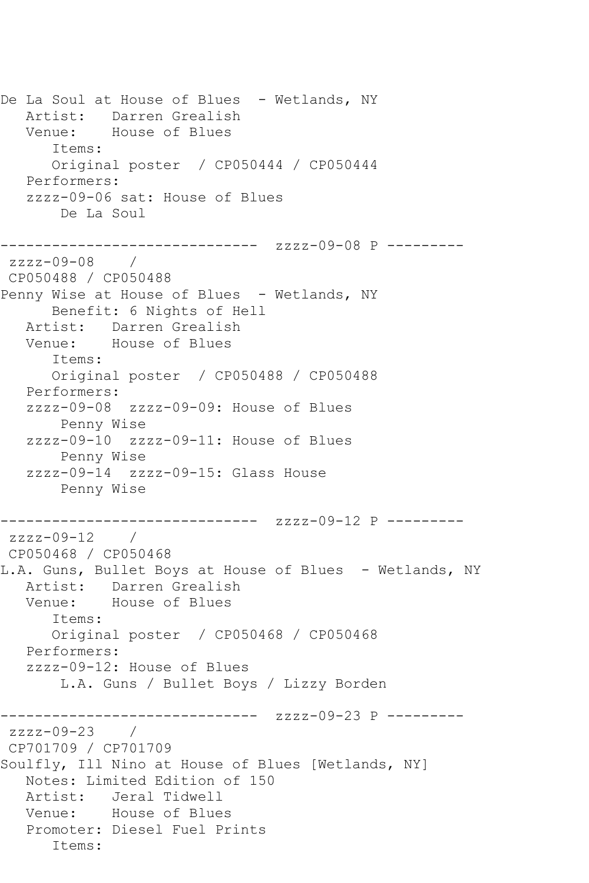De La Soul at House of Blues - Wetlands, NY Artist: Darren Grealish Venue: House of Blues Items: Original poster / CP050444 / CP050444 Performers: zzzz-09-06 sat: House of Blues De La Soul ------------------------------ zzzz-09-08 P -------- zzzz-09-08 / CP050488 / CP050488 Penny Wise at House of Blues - Wetlands, NY Benefit: 6 Nights of Hell Artist: Darren Grealish Venue: House of Blues Items: Original poster / CP050488 / CP050488 Performers: zzzz-09-08 zzzz-09-09: House of Blues Penny Wise zzzz-09-10 zzzz-09-11: House of Blues Penny Wise zzzz-09-14 zzzz-09-15: Glass House Penny Wise ------------------------------ zzzz-09-12 P -------- zzzz-09-12 / CP050468 / CP050468 L.A. Guns, Bullet Boys at House of Blues - Wetlands, NY Artist: Darren Grealish Venue: House of Blues Items: Original poster / CP050468 / CP050468 Performers: zzzz-09-12: House of Blues L.A. Guns / Bullet Boys / Lizzy Borden ------------------------------ zzzz-09-23 P --------  $zzzz-09-23$ CP701709 / CP701709 Soulfly, Ill Nino at House of Blues [Wetlands, NY] Notes: Limited Edition of 150 Artist: Jeral Tidwell Venue: House of Blues Promoter: Diesel Fuel Prints Items: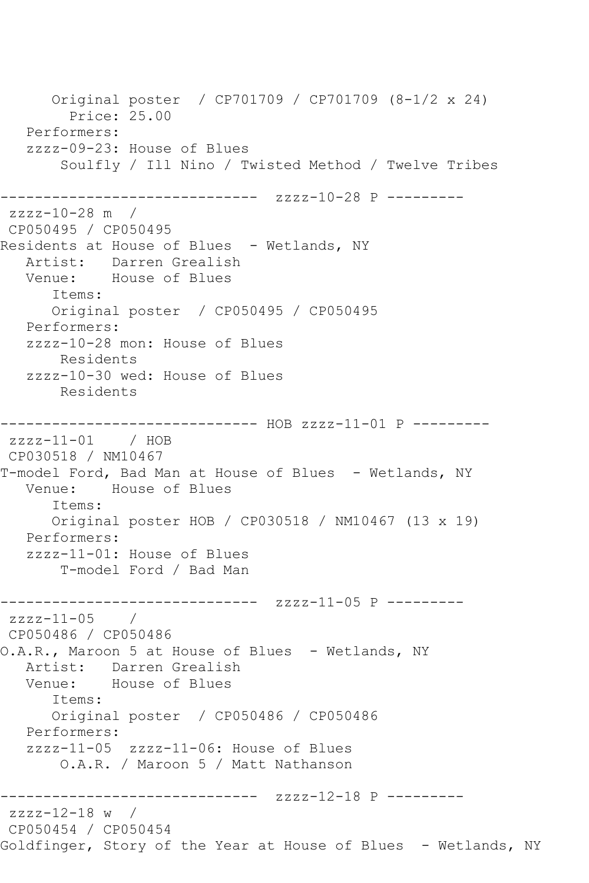Original poster / CP701709 / CP701709 (8-1/2 x 24) Price: 25.00 Performers: zzzz-09-23: House of Blues Soulfly / Ill Nino / Twisted Method / Twelve Tribes ------------------------------ zzzz-10-28 P -------- zzzz-10-28 m / CP050495 / CP050495 Residents at House of Blues - Wetlands, NY Artist: Darren Grealish Venue: House of Blues Items: Original poster / CP050495 / CP050495 Performers: zzzz-10-28 mon: House of Blues Residents zzzz-10-30 wed: House of Blues Residents ------------------------------ HOB zzzz-11-01 P -------- zzzz-11-01 / HOB CP030518 / NM10467 T-model Ford, Bad Man at House of Blues - Wetlands, NY Venue: House of Blues Items: Original poster HOB / CP030518 / NM10467 (13 x 19) Performers: zzzz-11-01: House of Blues T-model Ford / Bad Man ------------------------------ zzzz-11-05 P -------- zzzz-11-05 / CP050486 / CP050486 O.A.R., Maroon 5 at House of Blues - Wetlands, NY Artist: Darren Grealish<br>Venue: House of Blues House of Blues Items: Original poster / CP050486 / CP050486 Performers: zzzz-11-05 zzzz-11-06: House of Blues O.A.R. / Maroon 5 / Matt Nathanson ------------------------------ zzzz-12-18 P -------- zzzz-12-18 w / CP050454 / CP050454 Goldfinger, Story of the Year at House of Blues - Wetlands, NY